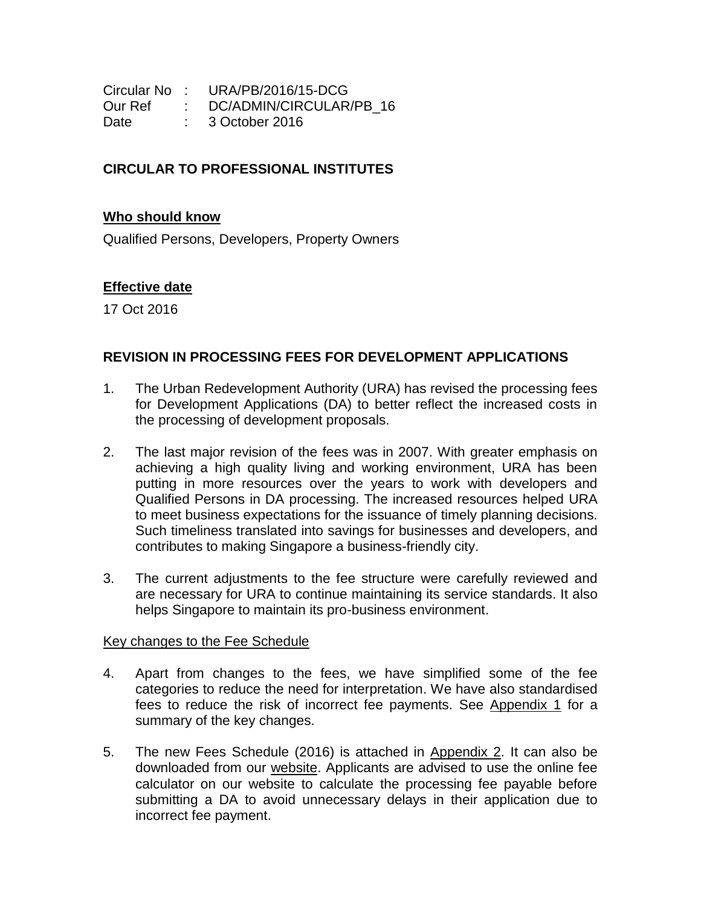|         | Circular No: URA/PB/2016/15-DCG |
|---------|---------------------------------|
| Our Ref | DC/ADMIN/CIRCULAR/PB 16         |
| Date    | $\therefore$ 3 October 2016     |

## **CIRCULAR TO PROFESSIONAL INSTITUTES**

## **Who should know**

Qualified Persons, Developers, Property Owners

## **Effective date**

17 Oct 2016

## **REVISION IN PROCESSING FEES FOR DEVELOPMENT APPLICATIONS**

- 1. The Urban Redevelopment Authority (URA) has revised the processing fees for Development Applications (DA) to better reflect the increased costs in the processing of development proposals.
- 2. The last major revision of the fees was in 2007. With greater emphasis on achieving a high quality living and working environment, URA has been putting in more resources over the years to work with developers and Qualified Persons in DA processing. The increased resources helped URA to meet business expectations for the issuance of timely planning decisions. Such timeliness translated into savings for businesses and developers, and contributes to making Singapore a business-friendly city.
- 3. The current adjustments to the fee structure were carefully reviewed and are necessary for URA to continue maintaining its service standards. It also helps Singapore to maintain its pro-business environment.

## Key changes to the Fee Schedule

- 4. Apart from changes to the fees, we have simplified some of the fee categories to reduce the need for interpretation. We have also standardised fees to reduce the risk of incorrect fee payments. See [Appendix 1](#page-2-0) for a summary of the key changes.
- 5. The new Fees Schedule (2016) is attached in [Appendix 2.](#page-3-0) It can also be downloaded from our [website.](https://www.ura.gov.sg/uol/Corporate/Guidelines/Development-Control/Planning-Permission/Folder/Others/Fees/Fees-Schedule-2016) Applicants are advised to use the online fee calculator on our website to calculate the processing fee payable before submitting a DA to avoid unnecessary delays in their application due to incorrect fee payment.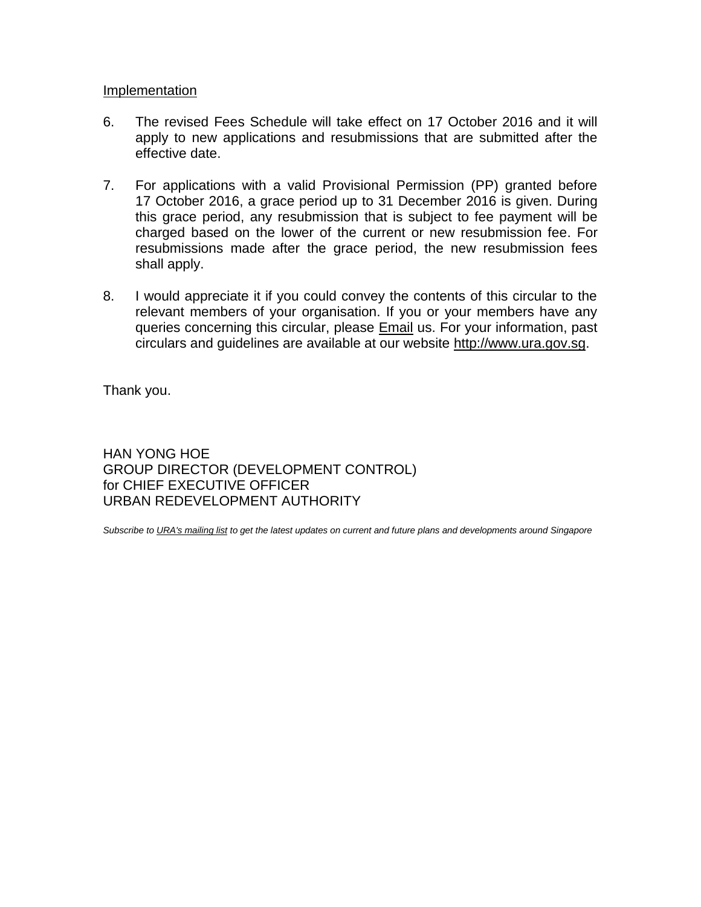## Implementation

- 6. The revised Fees Schedule will take effect on 17 October 2016 and it will apply to new applications and resubmissions that are submitted after the effective date.
- 7. For applications with a valid Provisional Permission (PP) granted before 17 October 2016, a grace period up to 31 December 2016 is given. During this grace period, any resubmission that is subject to fee payment will be charged based on the lower of the current or new resubmission fee. For resubmissions made after the grace period, the new resubmission fees shall apply.
- 8. I would appreciate it if you could convey the contents of this circular to the relevant members of your organisation. If you or your members have any queries concerning this circular, please [Email](https://www.ura.gov.sg/feedbackWeb/contactus_feedback.jsp) us. For your information, past circulars and guidelines are available at our website [http://www.ura.gov.sg.](http://www.ura.gov.sg/)

Thank you.

HAN YONG HOE GROUP DIRECTOR (DEVELOPMENT CONTROL) for CHIEF EXECUTIVE OFFICER URBAN REDEVELOPMENT AUTHORITY

*Subscribe t[o URA's mailing list](https://www.ura.gov.sg/Corporate/Subscription) to get the latest updates on current and future plans and developments around Singapore*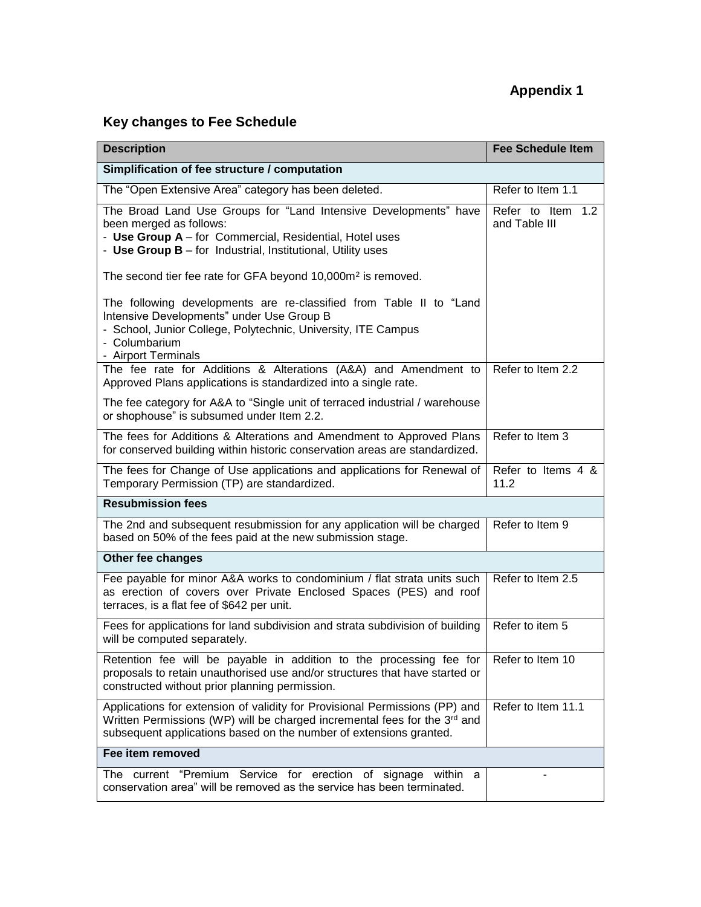# **Appendix 1**

# <span id="page-2-0"></span>**Key changes to Fee Schedule**

| <b>Description</b>                                                                                                                                                                                                             | <b>Fee Schedule Item</b>           |
|--------------------------------------------------------------------------------------------------------------------------------------------------------------------------------------------------------------------------------|------------------------------------|
| Simplification of fee structure / computation                                                                                                                                                                                  |                                    |
| The "Open Extensive Area" category has been deleted.                                                                                                                                                                           | Refer to Item 1.1                  |
| The Broad Land Use Groups for "Land Intensive Developments" have<br>been merged as follows:<br>- Use Group A - for Commercial, Residential, Hotel uses<br>- Use Group B - for Industrial, Institutional, Utility uses          | Refer to Item 1.2<br>and Table III |
| The second tier fee rate for GFA beyond 10,000m <sup>2</sup> is removed.                                                                                                                                                       |                                    |
| The following developments are re-classified from Table II to "Land<br>Intensive Developments" under Use Group B<br>- School, Junior College, Polytechnic, University, ITE Campus<br>- Columbarium<br>- Airport Terminals      |                                    |
| The fee rate for Additions & Alterations (A&A) and Amendment to<br>Approved Plans applications is standardized into a single rate.                                                                                             | Refer to Item 2.2                  |
| The fee category for A&A to "Single unit of terraced industrial / warehouse<br>or shophouse" is subsumed under Item 2.2.                                                                                                       |                                    |
| The fees for Additions & Alterations and Amendment to Approved Plans<br>for conserved building within historic conservation areas are standardized.                                                                            | Refer to Item 3                    |
| The fees for Change of Use applications and applications for Renewal of<br>Temporary Permission (TP) are standardized.                                                                                                         | Refer to Items 4 &<br>11.2         |
| <b>Resubmission fees</b>                                                                                                                                                                                                       |                                    |
| The 2nd and subsequent resubmission for any application will be charged<br>based on 50% of the fees paid at the new submission stage.                                                                                          | Refer to Item 9                    |
| Other fee changes                                                                                                                                                                                                              |                                    |
| Fee payable for minor A&A works to condominium / flat strata units such<br>as erection of covers over Private Enclosed Spaces (PES) and roof<br>terraces, is a flat fee of \$642 per unit.                                     | Refer to Item 2.5                  |
| Fees for applications for land subdivision and strata subdivision of building<br>will be computed separately.                                                                                                                  | Refer to item 5                    |
| Retention fee will be payable in addition to the processing fee for<br>proposals to retain unauthorised use and/or structures that have started or<br>constructed without prior planning permission.                           | Refer to Item 10                   |
| Applications for extension of validity for Provisional Permissions (PP) and<br>Written Permissions (WP) will be charged incremental fees for the 3rd and<br>subsequent applications based on the number of extensions granted. | Refer to Item 11.1                 |
| Fee item removed                                                                                                                                                                                                               |                                    |
| The current "Premium Service for erection of signage within a<br>conservation area" will be removed as the service has been terminated.                                                                                        |                                    |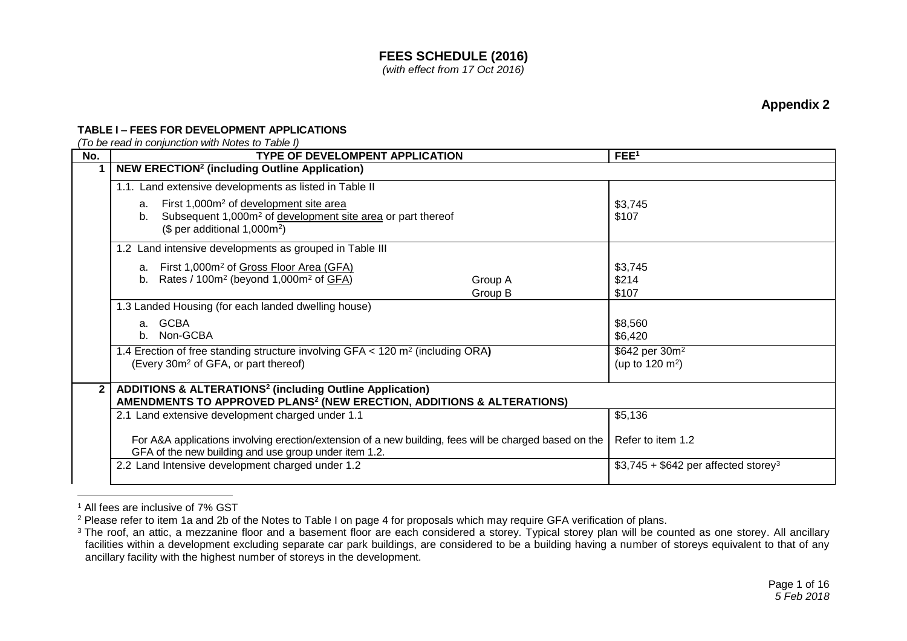### **TABLE I – FEES FOR DEVELOPMENT APPLICATIONS**

*(To be read in conjunction with Notes to Table I)*

<span id="page-3-0"></span>

| No.            | <b>TYPE OF DEVELOMPENT APPLICATION</b>                                                                                                                                                | FEE <sup>1</sup>                                          |
|----------------|---------------------------------------------------------------------------------------------------------------------------------------------------------------------------------------|-----------------------------------------------------------|
|                | <b>NEW ERECTION<sup>2</sup> (including Outline Application)</b>                                                                                                                       |                                                           |
|                | 1.1. Land extensive developments as listed in Table II                                                                                                                                |                                                           |
|                | First 1,000m <sup>2</sup> of development site area<br>a.<br>Subsequent 1,000m <sup>2</sup> of development site area or part thereof<br>b.<br>$$$ per additional 1,000m <sup>2</sup> ) | \$3,745<br>\$107                                          |
|                | 1.2 Land intensive developments as grouped in Table III                                                                                                                               |                                                           |
|                | First 1,000m <sup>2</sup> of Gross Floor Area (GFA)<br>a.<br>b. Rates / $100m^2$ (beyond $1,000m^2$ of GFA)<br>Group A<br>Group B                                                     | \$3,745<br>\$214<br>\$107                                 |
|                | 1.3 Landed Housing (for each landed dwelling house)                                                                                                                                   |                                                           |
|                | <b>GCBA</b><br>$a_{-}$<br>Non-GCBA<br>$b_{-}$                                                                                                                                         | \$8,560<br>\$6,420                                        |
|                | 1.4 Erection of free standing structure involving GFA < 120 m <sup>2</sup> (including ORA)<br>(Every 30m <sup>2</sup> of GFA, or part thereof)                                        | \$642 per 30m <sup>2</sup><br>(up to 120 m <sup>2</sup> ) |
| 2 <sup>1</sup> | ADDITIONS & ALTERATIONS <sup>2</sup> (including Outline Application)<br>AMENDMENTS TO APPROVED PLANS <sup>2</sup> (NEW ERECTION, ADDITIONS & ALTERATIONS)                             |                                                           |
|                | 2.1 Land extensive development charged under 1.1                                                                                                                                      | \$5,136                                                   |
|                | For A&A applications involving erection/extension of a new building, fees will be charged based on the<br>GFA of the new building and use group under item 1.2.                       | Refer to item 1.2                                         |
|                | 2.2 Land Intensive development charged under 1.2                                                                                                                                      | $$3,745 + $642$ per affected storey <sup>3</sup>          |

<sup>1</sup> All fees are inclusive of 7% GST

<sup>&</sup>lt;sup>2</sup> Please refer to item 1a and 2b of the Notes to Table I on page 4 for proposals which may require GFA verification of plans.

<sup>&</sup>lt;sup>3</sup> The roof, an attic, a mezzanine floor and a basement floor are each considered a storey. Typical storey plan will be counted as one storey. All ancillary facilities within a development excluding separate car park buildings, are considered to be a building having a number of storeys equivalent to that of any ancillary facility with the highest number of storeys in the development.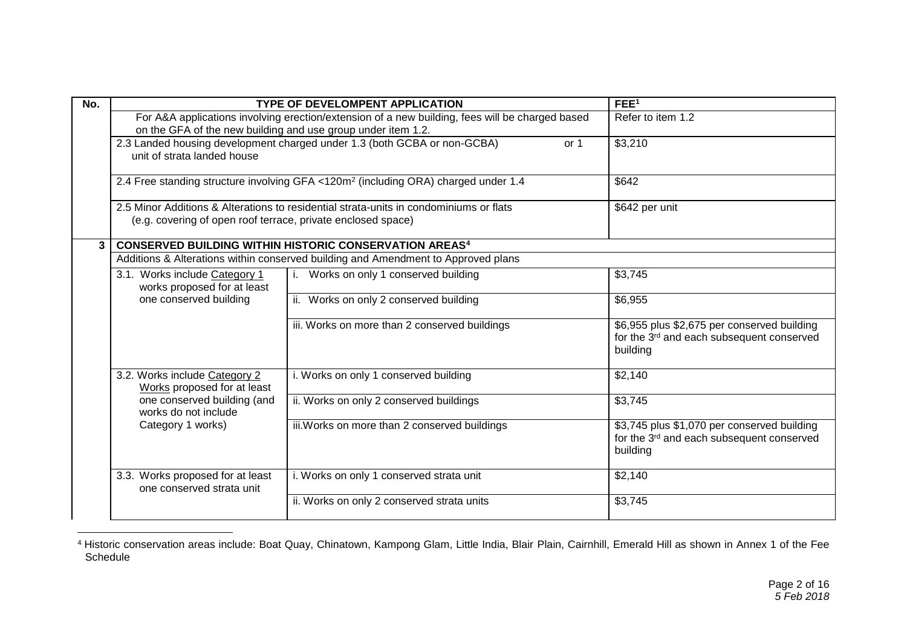| No. |                                                               | <b>TYPE OF DEVELOMPENT APPLICATION</b>                                                          | FEE <sup>1</sup>                                                                                                 |
|-----|---------------------------------------------------------------|-------------------------------------------------------------------------------------------------|------------------------------------------------------------------------------------------------------------------|
|     | on the GFA of the new building and use group under item 1.2.  | For A&A applications involving erection/extension of a new building, fees will be charged based | Refer to item 1.2                                                                                                |
|     | unit of strata landed house                                   | 2.3 Landed housing development charged under 1.3 (both GCBA or non-GCBA)<br>or 1                | \$3,210                                                                                                          |
|     |                                                               | 2.4 Free standing structure involving GFA <120m <sup>2</sup> (including ORA) charged under 1.4  | \$642                                                                                                            |
|     | (e.g. covering of open roof terrace, private enclosed space)  | 2.5 Minor Additions & Alterations to residential strata-units in condominiums or flats          | \$642 per unit                                                                                                   |
| 3   |                                                               | <b>CONSERVED BUILDING WITHIN HISTORIC CONSERVATION AREAS4</b>                                   |                                                                                                                  |
|     |                                                               | Additions & Alterations within conserved building and Amendment to Approved plans               |                                                                                                                  |
|     | 3.1. Works include Category 1<br>works proposed for at least  | i. Works on only 1 conserved building                                                           | \$3,745                                                                                                          |
|     | one conserved building                                        | ii. Works on only 2 conserved building                                                          | \$6,955                                                                                                          |
|     |                                                               | iii. Works on more than 2 conserved buildings                                                   | \$6,955 plus \$2,675 per conserved building<br>for the 3rd and each subsequent conserved<br>building             |
|     | 3.2. Works include Category 2<br>Works proposed for at least  | i. Works on only 1 conserved building                                                           | \$2,140                                                                                                          |
|     | one conserved building (and<br>works do not include           | ii. Works on only 2 conserved buildings                                                         | \$3,745                                                                                                          |
|     | Category 1 works)                                             | iii. Works on more than 2 conserved buildings                                                   | \$3,745 plus \$1,070 per conserved building<br>for the 3 <sup>rd</sup> and each subsequent conserved<br>building |
|     | 3.3. Works proposed for at least<br>one conserved strata unit | i. Works on only 1 conserved strata unit                                                        | \$2,140                                                                                                          |
|     |                                                               | ii. Works on only 2 conserved strata units                                                      | \$3,745                                                                                                          |

 $\overline{a}$ <sup>4</sup> Historic conservation areas include: Boat Quay, Chinatown, Kampong Glam, Little India, Blair Plain, Cairnhill, Emerald Hill as shown in Annex 1 of the Fee Schedule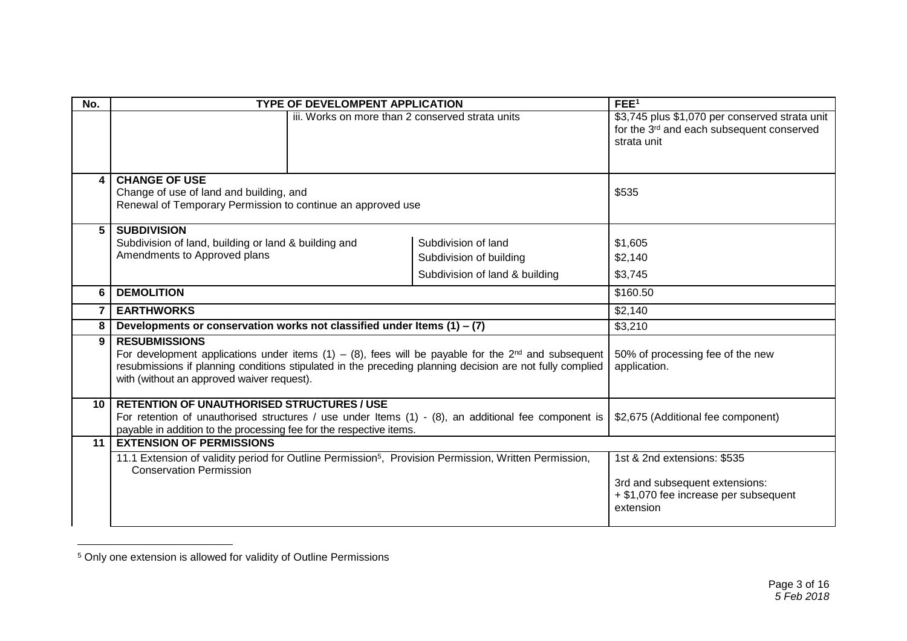| No. | <b>TYPE OF DEVELOMPENT APPLICATION</b>                                                                                                                                                                                                                                                                                                          |                                                                                  | FEE <sup>1</sup>                                                                                                       |
|-----|-------------------------------------------------------------------------------------------------------------------------------------------------------------------------------------------------------------------------------------------------------------------------------------------------------------------------------------------------|----------------------------------------------------------------------------------|------------------------------------------------------------------------------------------------------------------------|
|     | iii. Works on more than 2 conserved strata units                                                                                                                                                                                                                                                                                                |                                                                                  | \$3,745 plus \$1,070 per conserved strata unit<br>for the 3 <sup>rd</sup> and each subsequent conserved<br>strata unit |
| 4   | <b>CHANGE OF USE</b><br>Change of use of land and building, and<br>Renewal of Temporary Permission to continue an approved use                                                                                                                                                                                                                  |                                                                                  | \$535                                                                                                                  |
| 5   | <b>SUBDIVISION</b><br>Subdivision of land, building or land & building and<br>Amendments to Approved plans                                                                                                                                                                                                                                      | Subdivision of land<br>Subdivision of building<br>Subdivision of land & building | \$1,605<br>\$2,140<br>\$3,745                                                                                          |
| 6   | <b>DEMOLITION</b>                                                                                                                                                                                                                                                                                                                               |                                                                                  | \$160.50                                                                                                               |
|     | <b>EARTHWORKS</b>                                                                                                                                                                                                                                                                                                                               |                                                                                  | \$2,140                                                                                                                |
| 8   | Developments or conservation works not classified under Items $(1) - (7)$                                                                                                                                                                                                                                                                       |                                                                                  | \$3,210                                                                                                                |
| 9   | <b>RESUBMISSIONS</b><br>For development applications under items (1) – (8), fees will be payable for the $2^{nd}$ and subsequent<br>50% of processing fee of the new<br>resubmissions if planning conditions stipulated in the preceding planning decision are not fully complied<br>application.<br>with (without an approved waiver request). |                                                                                  |                                                                                                                        |
| 10  | <b>RETENTION OF UNAUTHORISED STRUCTURES / USE</b><br>For retention of unauthorised structures / use under Items $(1)$ - $(8)$ , an additional fee component is<br>payable in addition to the processing fee for the respective items.                                                                                                           | \$2,675 (Additional fee component)                                               |                                                                                                                        |
| 11  | <b>EXTENSION OF PERMISSIONS</b>                                                                                                                                                                                                                                                                                                                 |                                                                                  |                                                                                                                        |
|     | 11.1 Extension of validity period for Outline Permission <sup>5</sup> , Provision Permission, Written Permission,<br><b>Conservation Permission</b>                                                                                                                                                                                             |                                                                                  | 1st & 2nd extensions: \$535<br>3rd and subsequent extensions:<br>+ \$1,070 fee increase per subsequent<br>extension    |

<sup>5</sup> Only one extension is allowed for validity of Outline Permissions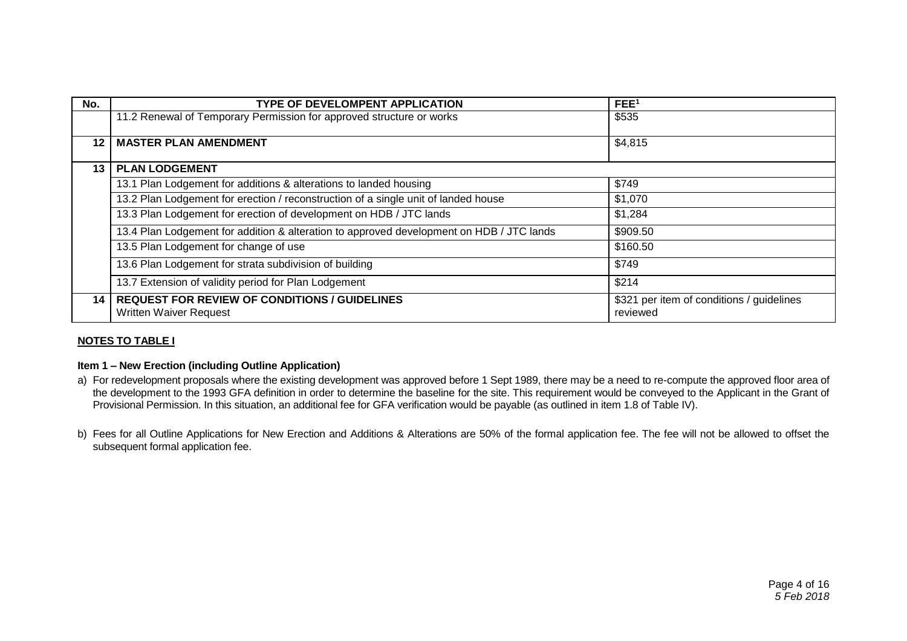| No.             | <b>TYPE OF DEVELOMPENT APPLICATION</b>                                                   | FEE <sup>1</sup>                                      |
|-----------------|------------------------------------------------------------------------------------------|-------------------------------------------------------|
|                 | 11.2 Renewal of Temporary Permission for approved structure or works                     | \$535                                                 |
| 12 <sup>1</sup> | <b>MASTER PLAN AMENDMENT</b>                                                             | \$4,815                                               |
| 13              | <b>PLAN LODGEMENT</b>                                                                    |                                                       |
|                 | 13.1 Plan Lodgement for additions & alterations to landed housing                        | \$749                                                 |
|                 | 13.2 Plan Lodgement for erection / reconstruction of a single unit of landed house       | \$1,070                                               |
|                 | 13.3 Plan Lodgement for erection of development on HDB / JTC lands                       | \$1,284                                               |
|                 | 13.4 Plan Lodgement for addition & alteration to approved development on HDB / JTC lands | \$909.50                                              |
|                 | 13.5 Plan Lodgement for change of use                                                    | \$160.50                                              |
|                 | 13.6 Plan Lodgement for strata subdivision of building                                   | \$749                                                 |
|                 | 13.7 Extension of validity period for Plan Lodgement                                     | \$214                                                 |
| 14 <sup>1</sup> | <b>REQUEST FOR REVIEW OF CONDITIONS / GUIDELINES</b><br><b>Written Waiver Request</b>    | \$321 per item of conditions / guidelines<br>reviewed |

#### **NOTES TO TABLE I**

#### **Item 1 – New Erection (including Outline Application)**

- a) For redevelopment proposals where the existing development was approved before 1 Sept 1989, there may be a need to re-compute the approved floor area of the development to the 1993 GFA definition in order to determine the baseline for the site. This requirement would be conveyed to the Applicant in the Grant of Provisional Permission. In this situation, an additional fee for GFA verification would be payable (as outlined in item 1.8 of Table IV).
- b) Fees for all Outline Applications for New Erection and Additions & Alterations are 50% of the formal application fee. The fee will not be allowed to offset the subsequent formal application fee.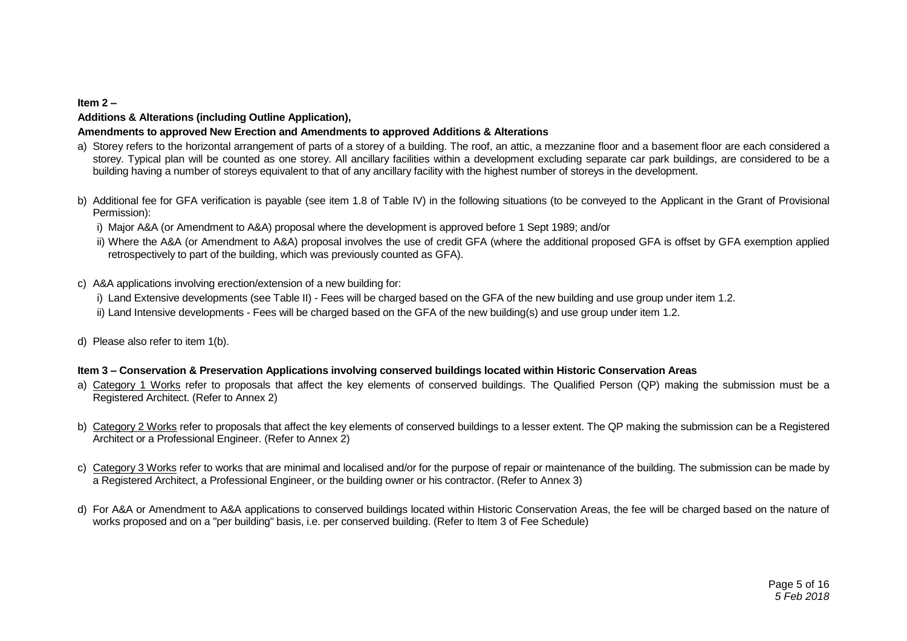#### **Item 2 –**

#### **Additions & Alterations (including Outline Application),**

#### **Amendments to approved New Erection and Amendments to approved Additions & Alterations**

- a) Storey refers to the horizontal arrangement of parts of a storey of a building. The roof, an attic, a mezzanine floor and a basement floor are each considered a storey. Typical plan will be counted as one storey. All ancillary facilities within a development excluding separate car park buildings, are considered to be a building having a number of storeys equivalent to that of any ancillary facility with the highest number of storeys in the development.
- b) Additional fee for GFA verification is payable (see item 1.8 of Table IV) in the following situations (to be conveyed to the Applicant in the Grant of Provisional Permission):
	- i) Major A&A (or Amendment to A&A) proposal where the development is approved before 1 Sept 1989: and/or
	- ii) Where the A&A (or Amendment to A&A) proposal involves the use of credit GFA (where the additional proposed GFA is offset by GFA exemption applied retrospectively to part of the building, which was previously counted as GFA).
- c) A&A applications involving erection/extension of a new building for:
	- i) Land Extensive developments (see Table II) Fees will be charged based on the GFA of the new building and use group under item 1.2.
	- ii) Land Intensive developments Fees will be charged based on the GFA of the new building(s) and use group under item 1.2.
- d) Please also refer to item 1(b).

#### **Item 3 – Conservation & Preservation Applications involving conserved buildings located within Historic Conservation Areas**

- a) Category 1 Works refer to proposals that affect the key elements of conserved buildings. The Qualified Person (QP) making the submission must be a Registered Architect. (Refer to Annex 2)
- b) Category 2 Works refer to proposals that affect the key elements of conserved buildings to a lesser extent. The QP making the submission can be a Registered Architect or a Professional Engineer. (Refer to Annex 2)
- c) Category 3 Works refer to works that are minimal and localised and/or for the purpose of repair or maintenance of the building. The submission can be made by a Registered Architect, a Professional Engineer, or the building owner or his contractor. (Refer to Annex 3)
- d) For A&A or Amendment to A&A applications to conserved buildings located within Historic Conservation Areas, the fee will be charged based on the nature of works proposed and on a "per building" basis, i.e. per conserved building. (Refer to Item 3 of Fee Schedule)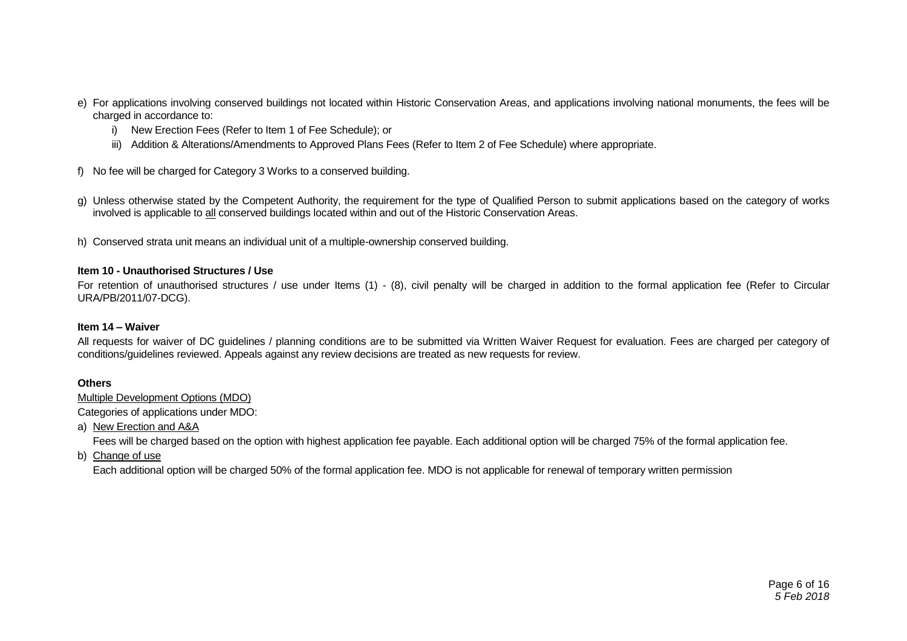- e) For applications involving conserved buildings not located within Historic Conservation Areas, and applications involving national monuments, the fees will be charged in accordance to:
	- i) New Erection Fees (Refer to Item 1 of Fee Schedule); or
	- iii) Addition & Alterations/Amendments to Approved Plans Fees (Refer to Item 2 of Fee Schedule) where appropriate.
- f) No fee will be charged for Category 3 Works to a conserved building.
- g) Unless otherwise stated by the Competent Authority, the requirement for the type of Qualified Person to submit applications based on the category of works involved is applicable to all conserved buildings located within and out of the Historic Conservation Areas.
- h) Conserved strata unit means an individual unit of a multiple-ownership conserved building.

#### **Item 10 - Unauthorised Structures / Use**

For retention of unauthorised structures / use under Items (1) - (8), civil penalty will be charged in addition to the formal application fee (Refer to Circular URA/PB/2011/07-DCG).

#### **Item 14 – Waiver**

All requests for waiver of DC guidelines / planning conditions are to be submitted via Written Waiver Request for evaluation. Fees are charged per category of conditions/guidelines reviewed. Appeals against any review decisions are treated as new requests for review.

#### **Others**

Multiple Development Options (MDO)

Categories of applications under MDO:

a) New Erection and A&A

Fees will be charged based on the option with highest application fee payable. Each additional option will be charged 75% of the formal application fee.

b) Change of use

Each additional option will be charged 50% of the formal application fee. MDO is not applicable for renewal of temporary written permission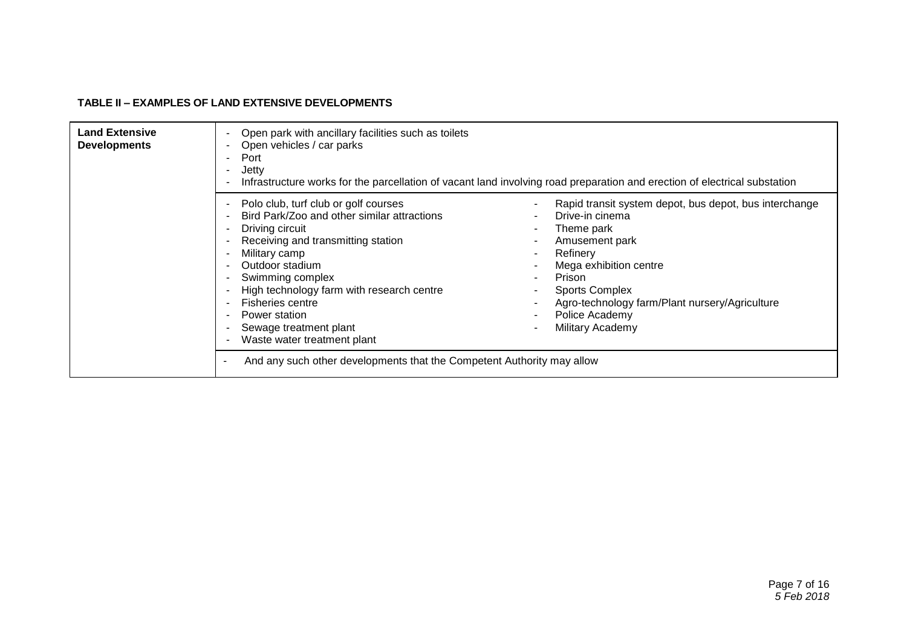#### **TABLE II – EXAMPLES OF LAND EXTENSIVE DEVELOPMENTS**

| <b>Land Extensive</b><br><b>Developments</b> | Open park with ancillary facilities such as toilets<br>Open vehicles / car parks<br>Port<br>Jetty<br>٠<br>Infrastructure works for the parcellation of vacant land involving road preparation and erection of electrical substation                                                                                                                                                                                              |                                                                                                                                                                                                                                                                                                                                      |  |
|----------------------------------------------|----------------------------------------------------------------------------------------------------------------------------------------------------------------------------------------------------------------------------------------------------------------------------------------------------------------------------------------------------------------------------------------------------------------------------------|--------------------------------------------------------------------------------------------------------------------------------------------------------------------------------------------------------------------------------------------------------------------------------------------------------------------------------------|--|
|                                              | Polo club, turf club or golf courses<br>Bird Park/Zoo and other similar attractions<br>Driving circuit<br>Receiving and transmitting station<br>Military camp<br>Outdoor stadium<br>Swimming complex<br>High technology farm with research centre<br><b>Fisheries centre</b><br>Power station<br>Sewage treatment plant<br>Waste water treatment plant<br>And any such other developments that the Competent Authority may allow | Rapid transit system depot, bus depot, bus interchange<br>Drive-in cinema<br>Theme park<br>$\overline{\phantom{a}}$<br>Amusement park<br>$\sim$<br>Refinery<br>$\sim$<br>Mega exhibition centre<br>Prison<br>$\sim$<br><b>Sports Complex</b><br>Agro-technology farm/Plant nursery/Agriculture<br>Police Academy<br>Military Academy |  |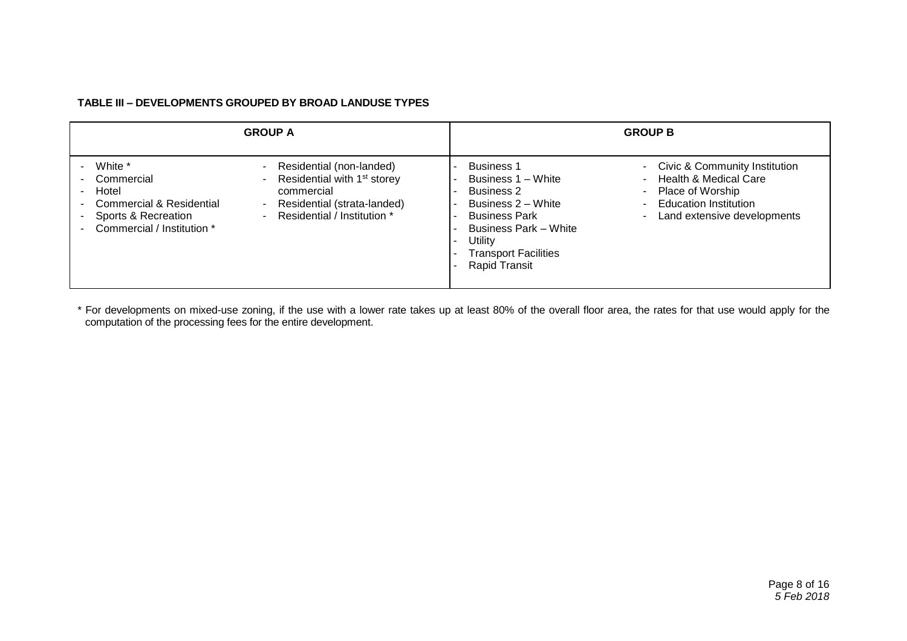#### **TABLE III – DEVELOPMENTS GROUPED BY BROAD LANDUSE TYPES**

| <b>GROUP A</b>                                                                                                             |                                                                                                                                                                                                                                     | <b>GROUP B</b>                                                                                                                                                                                               |                                                                                                                                                                                                                      |
|----------------------------------------------------------------------------------------------------------------------------|-------------------------------------------------------------------------------------------------------------------------------------------------------------------------------------------------------------------------------------|--------------------------------------------------------------------------------------------------------------------------------------------------------------------------------------------------------------|----------------------------------------------------------------------------------------------------------------------------------------------------------------------------------------------------------------------|
| White *<br>Commercial<br>Hotel<br><b>Commercial &amp; Residential</b><br>Sports & Recreation<br>Commercial / Institution * | Residential (non-landed)<br>Residential with 1 <sup>st</sup> storey<br>$\overline{\phantom{0}}$<br>commercial<br>Residential (strata-landed)<br>$\overline{\phantom{0}}$<br>Residential / Institution *<br>$\overline{\phantom{0}}$ | <b>Business 1</b><br>Business 1 - White<br><b>Business 2</b><br>Business 2 – White<br><b>Business Park</b><br><b>Business Park - White</b><br>Utility<br><b>Transport Facilities</b><br><b>Rapid Transit</b> | Civic & Community Institution<br>$\sim$<br><b>Health &amp; Medical Care</b><br>$\overline{\phantom{0}}$<br>- Place of Worship<br><b>Education Institution</b><br>۰.<br>Land extensive developments<br>$\blacksquare$ |

\* For developments on mixed-use zoning, if the use with a lower rate takes up at least 80% of the overall floor area, the rates for that use would apply for the computation of the processing fees for the entire development.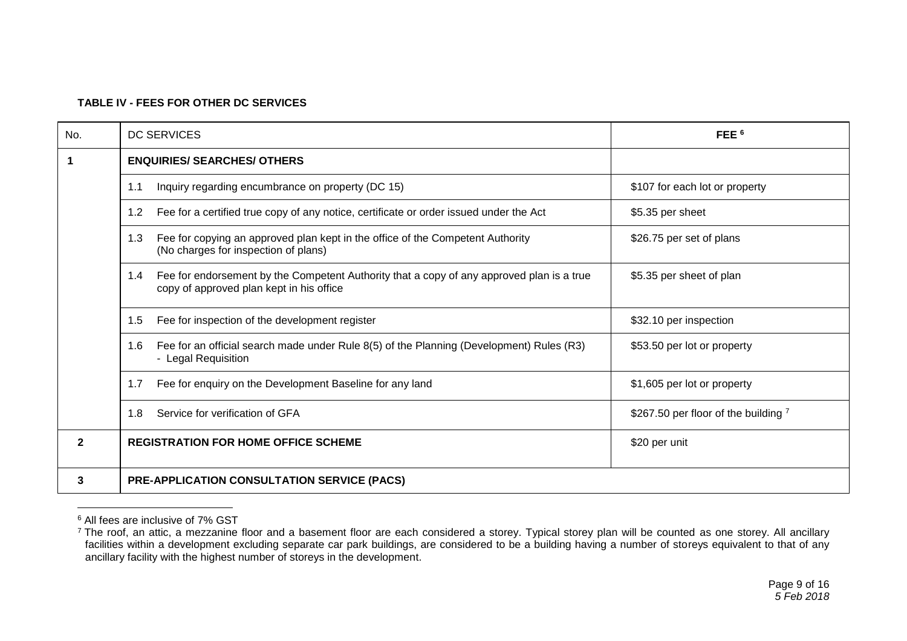#### **TABLE IV - FEES FOR OTHER DC SERVICES**

| No.          | <b>DC SERVICES</b>                                                                                                                           | FEE <sup>6</sup>                     |
|--------------|----------------------------------------------------------------------------------------------------------------------------------------------|--------------------------------------|
| 1            | <b>ENQUIRIES/ SEARCHES/ OTHERS</b>                                                                                                           |                                      |
|              | Inquiry regarding encumbrance on property (DC 15)<br>1.1                                                                                     | \$107 for each lot or property       |
|              | Fee for a certified true copy of any notice, certificate or order issued under the Act<br>1.2                                                | \$5.35 per sheet                     |
|              | Fee for copying an approved plan kept in the office of the Competent Authority<br>1.3<br>(No charges for inspection of plans)                | \$26.75 per set of plans             |
|              | Fee for endorsement by the Competent Authority that a copy of any approved plan is a true<br>1.4<br>copy of approved plan kept in his office | \$5.35 per sheet of plan             |
|              | Fee for inspection of the development register<br>1.5                                                                                        | \$32.10 per inspection               |
|              | Fee for an official search made under Rule 8(5) of the Planning (Development) Rules (R3)<br>1.6<br>- Legal Requisition                       | \$53.50 per lot or property          |
|              | Fee for enquiry on the Development Baseline for any land<br>1.7                                                                              | \$1,605 per lot or property          |
|              | Service for verification of GFA<br>1.8                                                                                                       | \$267.50 per floor of the building 7 |
| $\mathbf{2}$ | <b>REGISTRATION FOR HOME OFFICE SCHEME</b>                                                                                                   | \$20 per unit                        |
| 3            | <b>PRE-APPLICATION CONSULTATION SERVICE (PACS)</b>                                                                                           |                                      |

<sup>6</sup> All fees are inclusive of 7% GST

<sup>&</sup>lt;sup>7</sup> The roof, an attic, a mezzanine floor and a basement floor are each considered a storey. Typical storey plan will be counted as one storey. All ancillary facilities within a development excluding separate car park buildings, are considered to be a building having a number of storeys equivalent to that of any ancillary facility with the highest number of storeys in the development.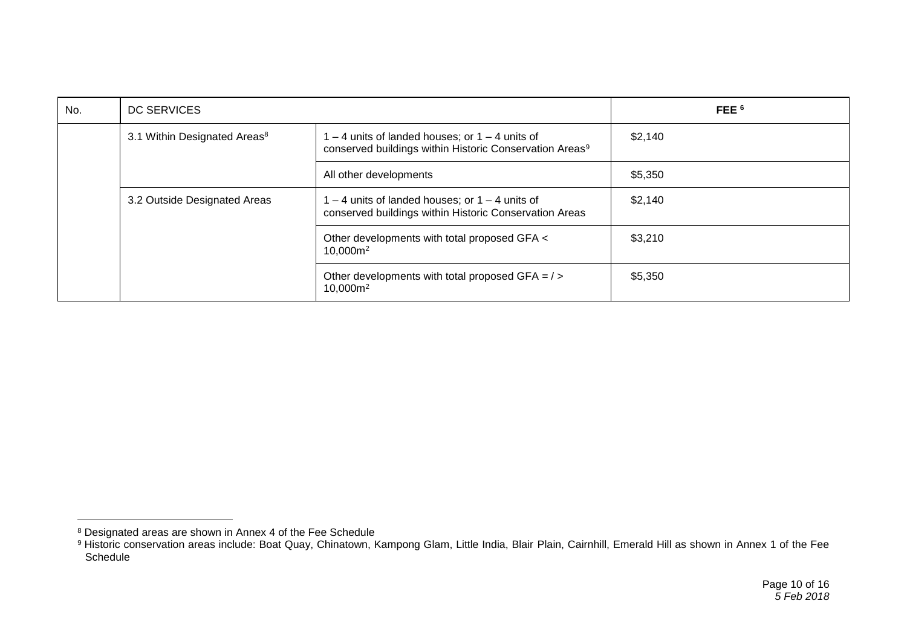| No. | DC SERVICES                              |                                                                                                                         | FEE <sup>6</sup> |
|-----|------------------------------------------|-------------------------------------------------------------------------------------------------------------------------|------------------|
|     | 3.1 Within Designated Areas <sup>8</sup> | $-4$ units of landed houses; or $1 - 4$ units of<br>conserved buildings within Historic Conservation Areas <sup>9</sup> | \$2,140          |
|     |                                          | All other developments                                                                                                  | \$5,350          |
|     | 3.2 Outside Designated Areas             | $I - 4$ units of landed houses; or $1 - 4$ units of<br>conserved buildings within Historic Conservation Areas           | \$2,140          |
|     |                                          | Other developments with total proposed GFA <<br>10,000m <sup>2</sup>                                                    | \$3,210          |
|     |                                          | Other developments with total proposed GFA $=$ / $>$<br>10,000m <sup>2</sup>                                            | \$5,350          |

<sup>&</sup>lt;sup>8</sup> Designated areas are shown in Annex 4 of the Fee Schedule

<sup>9</sup> Historic conservation areas include: Boat Quay, Chinatown, Kampong Glam, Little India, Blair Plain, Cairnhill, Emerald Hill as shown in Annex 1 of the Fee Schedule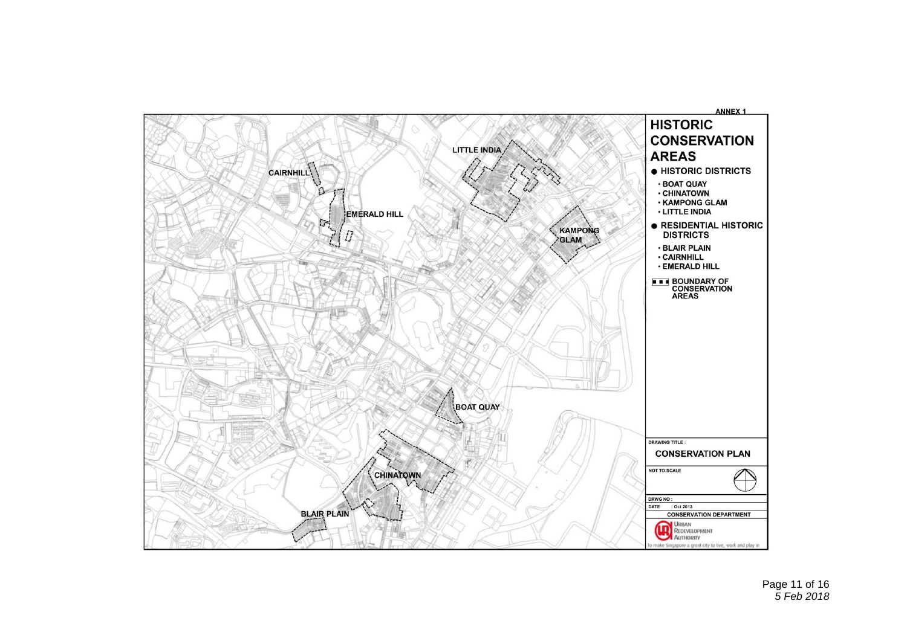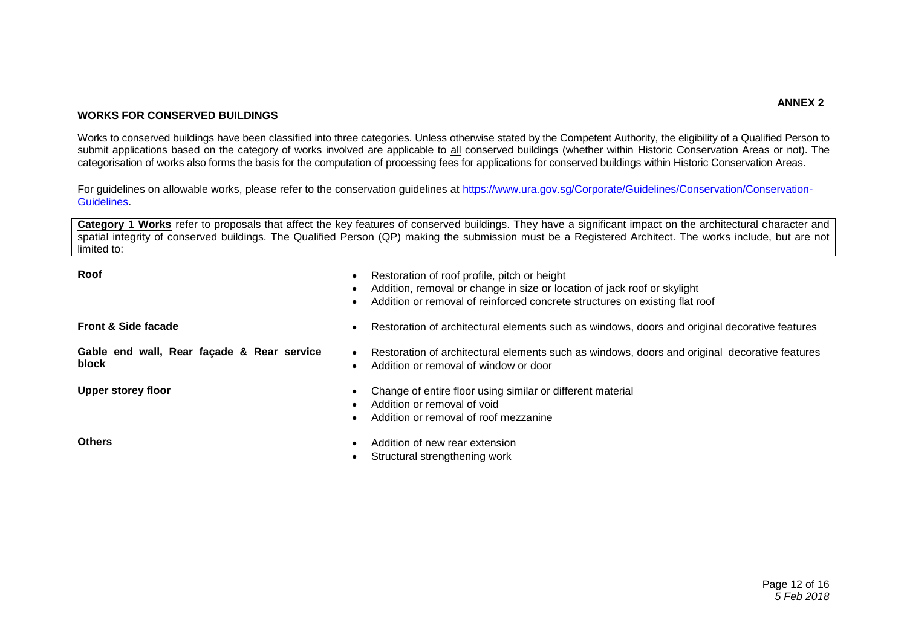#### **WORKS FOR CONSERVED BUILDINGS**

Works to conserved buildings have been classified into three categories. Unless otherwise stated by the Competent Authority, the eligibility of a Qualified Person to submit applications based on the category of works involved are applicable to all conserved buildings (whether within Historic Conservation Areas or not). The categorisation of works also forms the basis for the computation of processing fees for applications for conserved buildings within Historic Conservation Areas.

For guidelines on allowable works, please refer to the conservation guidelines at [https://www.ura.gov.sg/Corporate/Guidelines/Conservation/Conservation-](https://www.ura.gov.sg/Corporate/Guidelines/Conservation/Conservation-Guidelines)[Guidelines.](https://www.ura.gov.sg/Corporate/Guidelines/Conservation/Conservation-Guidelines)

**Category 1 Works** refer to proposals that affect the key features of conserved buildings. They have a significant impact on the architectural character and spatial integrity of conserved buildings. The Qualified Person (QP) making the submission must be a Registered Architect. The works include, but are not limited to:

| Roof                                                | Restoration of roof profile, pitch or height<br>Addition, removal or change in size or location of jack roof or skylight<br>Addition or removal of reinforced concrete structures on existing flat roof |
|-----------------------------------------------------|---------------------------------------------------------------------------------------------------------------------------------------------------------------------------------------------------------|
| <b>Front &amp; Side facade</b>                      | Restoration of architectural elements such as windows, doors and original decorative features                                                                                                           |
| Gable end wall, Rear façade & Rear service<br>block | Restoration of architectural elements such as windows, doors and original decorative features<br>$\bullet$<br>Addition or removal of window or door                                                     |
| <b>Upper storey floor</b>                           | Change of entire floor using similar or different material<br>Addition or removal of void<br>Addition or removal of roof mezzanine                                                                      |
| <b>Others</b>                                       | Addition of new rear extension<br>Structural strengthening work                                                                                                                                         |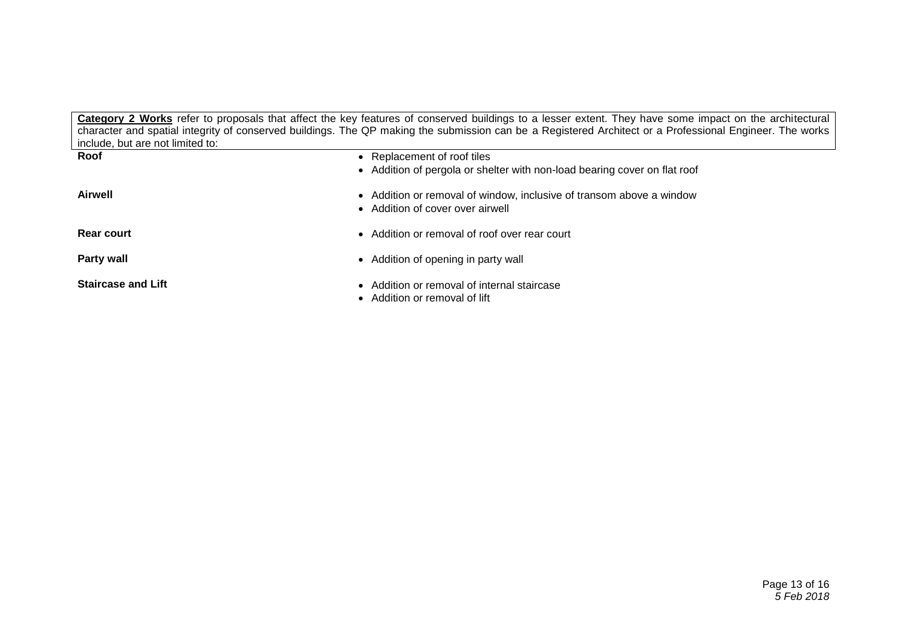**Category 2 Works** refer to proposals that affect the key features of conserved buildings to a lesser extent. They have some impact on the architectural character and spatial integrity of conserved buildings. The QP making the submission can be a Registered Architect or a Professional Engineer. The works include, but are not limited to:

| Roof                      | • Replacement of roof tiles                                                                              |
|---------------------------|----------------------------------------------------------------------------------------------------------|
|                           | • Addition of pergola or shelter with non-load bearing cover on flat roof                                |
| <b>Airwell</b>            | • Addition or removal of window, inclusive of transom above a window<br>• Addition of cover over airwell |
| <b>Rear court</b>         | • Addition or removal of roof over rear court                                                            |
| Party wall                | • Addition of opening in party wall                                                                      |
| <b>Staircase and Lift</b> | • Addition or removal of internal staircase<br>• Addition or removal of lift                             |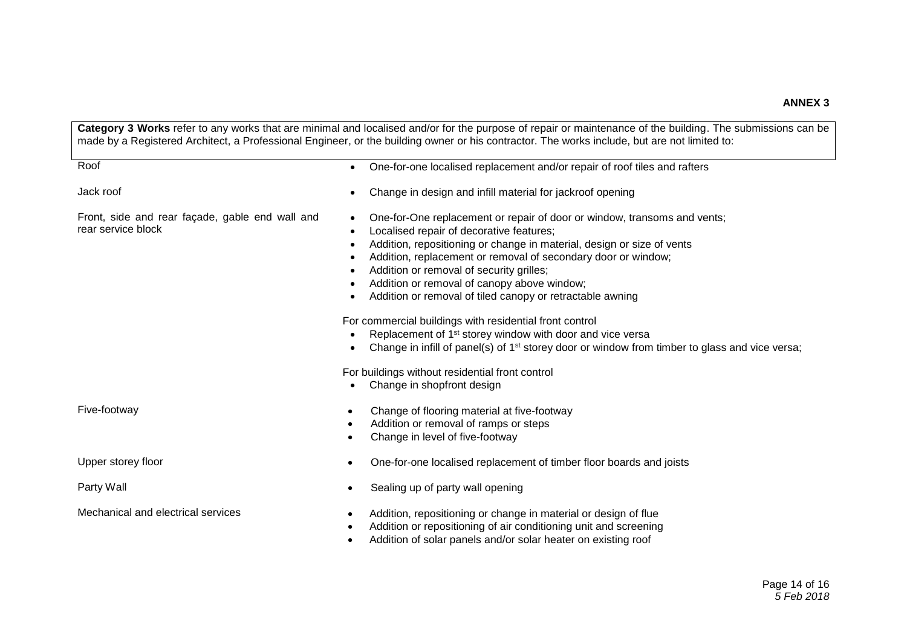**Category 3 Works** refer to any works that are minimal and localised and/or for the purpose of repair or maintenance of the building. The submissions can be made by a Registered Architect, a Professional Engineer, or the building owner or his contractor. The works include, but are not limited to: Roof **CONET CONFIDENTIAL CONFIDENTIAL CONFIDENTIAL CONFIDENTIAL CONFIDENTIAL CONFIDENTIAL CONFIDENTIAL CONFIDENTIAL CONFIDENTIAL CONFIDENTIAL CONFIDENTIAL CONFIDENTIAL CONFIDENTIAL CONFIDENTIAL CONFIDENTIAL CONFIDENTIAL CO** Jack roof Change in design and infill material for jackroof opening Front, side and rear façade, gable end wall and rear service block One-for-One replacement or repair of door or window, transoms and vents; Localised repair of decorative features; Addition, repositioning or change in material, design or size of vents Addition, replacement or removal of secondary door or window; • Addition or removal of security grilles; Addition or removal of canopy above window; Addition or removal of tiled canopy or retractable awning For commercial buildings with residential front control Replacement of 1st storey window with door and vice versa • Change in infill of panel(s) of  $1<sup>st</sup>$  storey door or window from timber to glass and vice versa; For buildings without residential front control • Change in shopfront design Five-footway **Change of flooring material at five-footway**  Addition or removal of ramps or steps Change in level of five-footway Upper storey floor **One-for-one localised replacement of timber floor boards and joists** Party Wall **Party Wall Sealing up of party wall opening** Mechanical and electrical services **Addition**, repositioning or change in material or design of flue Addition or repositioning of air conditioning unit and screening Addition of solar panels and/or solar heater on existing roof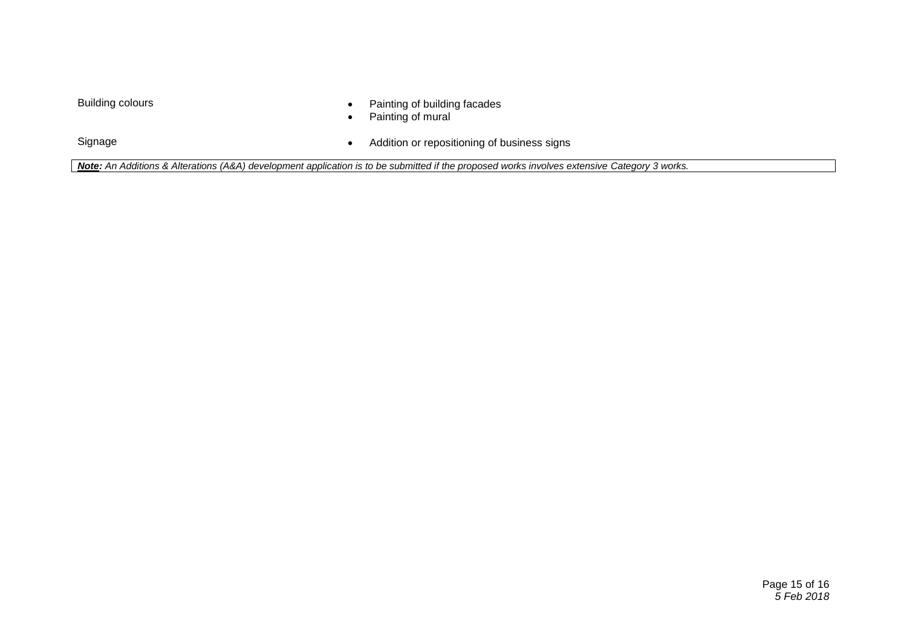- Building colours **Painting of building facades** 
	- Painting of mural

Signage Signage Signage Signage Signage Signage Signage Signage Signage Signage Signage Signage Signage Signage

*Note: An Additions & Alterations (A&A) development application is to be submitted if the proposed works involves extensive Category 3 works.*